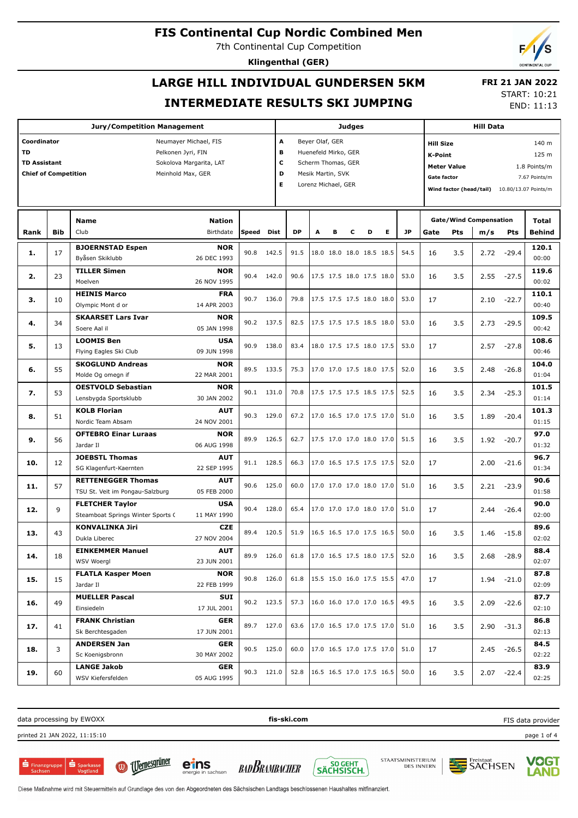7th Continental Cup Competition

# **LARGE HILL INDIVIDUAL GUNDERSEN 5KM INTERMEDIATE RESULTS SKI JUMPING**

T

START: 10:21 END: 11:13

 **FRI 21 JAN 2022**

Т

|                             |            |                                            |                           |            | <b>Judges</b> |           |                      |   |   |                          | <b>Hill Data</b> |           |                    |                               |      |               |                                              |
|-----------------------------|------------|--------------------------------------------|---------------------------|------------|---------------|-----------|----------------------|---|---|--------------------------|------------------|-----------|--------------------|-------------------------------|------|---------------|----------------------------------------------|
| Coordinator                 |            |                                            | Neumayer Michael, FIS     |            | A             |           | Beyer Olaf, GER      |   |   |                          |                  |           | <b>Hill Size</b>   |                               |      |               | 140 m                                        |
| <b>TD</b>                   |            | Pelkonen Jyri, FIN                         |                           |            | в             |           | Huenefeld Mirko, GER |   |   |                          |                  |           | K-Point            |                               |      |               | 125 m                                        |
| <b>TD Assistant</b>         |            |                                            | Sokolova Margarita, LAT   |            | c             |           | Scherm Thomas, GER   |   |   |                          |                  |           |                    | <b>Meter Value</b>            |      |               | 1.8 Points/m                                 |
| <b>Chief of Competition</b> |            | Meinhold Max, GER                          |                           |            | D             |           | Mesik Martin, SVK    |   |   |                          |                  |           | <b>Gate factor</b> |                               |      | 7.67 Points/m |                                              |
|                             |            |                                            |                           |            | E.            |           | Lorenz Michael, GER  |   |   |                          |                  |           |                    |                               |      |               | Wind factor (head/tail) 10.80/13.07 Points/m |
|                             |            |                                            |                           |            |               |           |                      |   |   |                          |                  |           |                    |                               |      |               |                                              |
|                             |            |                                            |                           |            |               |           |                      |   |   |                          |                  |           |                    |                               |      |               |                                              |
|                             |            | <b>Name</b>                                | <b>Nation</b>             |            |               |           |                      |   |   |                          |                  |           |                    | <b>Gate/Wind Compensation</b> |      |               | Total                                        |
| Rank                        | <b>Bib</b> | Club                                       | Birthdate                 | Speed      | Dist          | <b>DP</b> | A                    | в | c | D                        | Е                | <b>JP</b> | Gate               | <b>Pts</b>                    | m/s  | <b>Pts</b>    | Behind                                       |
| 1.                          | 17         | <b>BJOERNSTAD Espen</b>                    | <b>NOR</b>                | 90.8       | 142.5         | 91.5      |                      |   |   | 18.0 18.0 18.0 18.5 18.5 |                  | 54.5      | 16                 | 3.5                           | 2.72 | $-29.4$       | 120.1                                        |
|                             |            | Byåsen Skiklubb                            | 26 DEC 1993               |            |               |           |                      |   |   |                          |                  |           |                    |                               |      |               | 00:00                                        |
| 2.                          | 23         | <b>TILLER Simen</b>                        | <b>NOR</b>                | 90.4       | 142.0         | 90.6      |                      |   |   | 17.5 17.5 18.0 17.5 18.0 |                  | 53.0      | 16                 | 3.5                           | 2.55 | -27.5         | 119.6                                        |
|                             |            | Moelven                                    | 26 NOV 1995               |            |               |           |                      |   |   |                          |                  |           |                    |                               |      |               | 00:02                                        |
| з.                          | 10         | <b>HEINIS Marco</b>                        | <b>FRA</b>                | 90.7       | 136.0         | 79.8      |                      |   |   | 17.5 17.5 17.5 18.0 18.0 |                  | 53.0      | 17                 |                               | 2.10 | $-22.7$       | 110.1                                        |
|                             |            | Olympic Mont d or                          | 14 APR 2003               |            |               |           |                      |   |   |                          |                  |           |                    |                               |      |               | 00:40                                        |
| 4.                          | 34         | <b>SKAARSET Lars Ivar</b>                  | <b>NOR</b>                | 90.2       | 137.5         | 82.5      |                      |   |   | 17.5 17.5 17.5 18.5 18.0 |                  | 53.0      | 16                 | 3.5                           | 2.73 | $-29.5$       | 109.5                                        |
|                             |            | Soere Aal il                               | 05 JAN 1998               |            |               |           |                      |   |   |                          |                  |           |                    |                               |      |               | 00:42                                        |
| 5.                          | 13         | <b>LOOMIS Ben</b>                          | <b>USA</b>                | 90.9       | 138.0         | 83.4      |                      |   |   | 18.0 17.5 17.5 18.0 17.5 |                  | 53.0      | 17                 |                               | 2.57 | $-27.8$       | 108.6                                        |
|                             |            | Flying Eagles Ski Club                     | 09 JUN 1998               |            |               |           |                      |   |   |                          |                  |           |                    |                               |      |               | 00:46                                        |
| 6.                          | 55         | <b>SKOGLUND Andreas</b>                    | <b>NOR</b>                | 89.5       | 133.5         | 75.3      |                      |   |   | 17.0 17.0 17.5 18.0 17.5 |                  | 52.0      | 16                 | 3.5                           | 2.48 | $-26.8$       | 104.0                                        |
|                             |            | Molde Og omegn if                          | 22 MAR 2001               |            |               |           |                      |   |   |                          |                  |           |                    |                               |      |               | 01:04                                        |
| 7.                          | 53         | <b>OESTVOLD Sebastian</b>                  | <b>NOR</b>                | 90.1       | 131.0         | 70.8      |                      |   |   | 17.5 17.5 17.5 18.5 17.5 |                  | 52.5      | 16                 | 3.5                           | 2.34 | $-25.3$       | 101.5                                        |
|                             |            | Lensbygda Sportsklubb                      | 30 JAN 2002               |            |               |           |                      |   |   |                          |                  |           |                    |                               |      |               | 01:14                                        |
| 8.                          | 51         | <b>KOLB Florian</b>                        | <b>AUT</b>                | 90.3       | 129.0         | 67.2      |                      |   |   | 17.0 16.5 17.0 17.5 17.0 |                  | 51.0      | 16                 | 3.5                           | 1.89 | $-20.4$       | 101.3                                        |
|                             |            | Nordic Team Absam                          | 24 NOV 2001               |            |               |           |                      |   |   |                          |                  |           |                    |                               |      |               | 01:15                                        |
| 9.                          | 56         | <b>OFTEBRO Einar Luraas</b>                | <b>NOR</b>                | 89.9       | 126.5         | 62.7      |                      |   |   | 17.5 17.0 17.0 18.0 17.0 |                  | 51.5      | 16                 | 3.5                           | 1.92 | $-20.7$       | 97.0                                         |
|                             |            | Jardar II                                  | 06 AUG 1998               |            |               |           |                      |   |   |                          |                  |           |                    |                               |      |               | 01:32                                        |
| 10.                         | 12         | <b>JOEBSTL Thomas</b>                      | <b>AUT</b>                | 91.1       | 128.5         | 66.3      |                      |   |   | 17.0 16.5 17.5 17.5 17.5 |                  | 52.0      | 17                 |                               | 2.00 | $-21.6$       | 96.7                                         |
|                             |            | SG Klagenfurt-Kaernten                     | 22 SEP 1995               |            |               |           |                      |   |   |                          |                  |           |                    |                               |      |               | 01:34                                        |
| 11.                         | 57         | <b>RETTENEGGER Thomas</b>                  | <b>AUT</b>                | 90.6       | 125.0         | 60.0      |                      |   |   | 17.0 17.0 17.0 18.0 17.0 |                  | 51.0      | 16                 | 3.5                           | 2.21 | $-23.9$       | 90.6                                         |
|                             |            | TSU St. Veit im Pongau-Salzburg            | 05 FEB 2000               |            |               |           |                      |   |   |                          |                  |           |                    |                               |      |               | 01:58                                        |
| 12.                         | 9          | <b>FLETCHER Taylor</b>                     | <b>USA</b>                | 90.4       | 128.0         | 65.4      |                      |   |   | 17.0 17.0 17.0 18.0 17.0 |                  | 51.0      | 17                 |                               | 2.44 | $-26.4$       | 90.0                                         |
|                             |            | Steamboat Springs Winter Sports C          | 11 MAY 1990               |            |               |           |                      |   |   |                          |                  |           |                    |                               |      |               | 02:00                                        |
| 13.                         | 43         | <b>KONVALINKA Jiri</b>                     | <b>CZE</b>                | 89.4       | 120.5         | 51.9      |                      |   |   | 16.5 16.5 17.0 17.5 16.5 |                  | 50.0      | 16                 | 3.5                           | 1.46 | $-15.8$       | 89.6<br>02:02                                |
|                             |            | Dukla Liberec                              | 27 NOV 2004               |            |               |           |                      |   |   |                          |                  |           |                    |                               |      |               |                                              |
| 14.                         | 18         | <b>EINKEMMER Manuel</b>                    | <b>AUT</b>                | 89.9 126.0 |               | 61.8      |                      |   |   | 17.0 16.5 17.5 18.0 17.5 |                  | 52.0      | 16                 | 3.5                           |      | 2.68 -28.9    | 88.4                                         |
|                             |            | WSV Woergl                                 | 23 JUN 2001               |            |               |           |                      |   |   |                          |                  |           |                    |                               |      |               | 02:07                                        |
| 15.                         | 15         | <b>FLATLA Kasper Moen</b><br>Jardar II     | <b>NOR</b><br>22 FEB 1999 | 90.8 126.0 |               | 61.8      |                      |   |   | 15.5 15.0 16.0 17.5 15.5 |                  | 47.0      | 17                 |                               |      | $1.94 - 21.0$ | 87.8<br>02:09                                |
|                             |            |                                            |                           |            |               |           |                      |   |   |                          |                  |           |                    |                               |      |               |                                              |
| 16.                         | 49         | <b>MUELLER Pascal</b><br>Einsiedeln        | SUI                       | 90.2 123.5 |               | 57.3      |                      |   |   | 16.0 16.0 17.0 17.0 16.5 |                  | 49.5      | 16                 | 3.5                           |      | $2.09 - 22.6$ | 87.7<br>02:10                                |
|                             |            |                                            | 17 JUL 2001               |            |               |           |                      |   |   |                          |                  |           |                    |                               |      |               |                                              |
| 17.                         | 41         | <b>FRANK Christian</b><br>Sk Berchtesgaden | <b>GER</b><br>17 JUN 2001 | 89.7 127.0 |               | 63.6      |                      |   |   | 17.0 16.5 17.0 17.5 17.0 |                  | 51.0      | 16                 | 3.5                           |      | $2.90 - 31.3$ | 86.8<br>02:13                                |
|                             |            |                                            |                           |            |               |           |                      |   |   |                          |                  |           |                    |                               |      |               |                                              |
| 18.                         | 3          | <b>ANDERSEN Jan</b><br>Sc Koenigsbronn     | <b>GER</b><br>30 MAY 2002 | 90.5 125.0 |               | 60.0      |                      |   |   | 17.0 16.5 17.0 17.5 17.0 |                  | 51.0      | 17                 |                               |      | $2.45 - 26.5$ | 84.5<br>02:22                                |
|                             |            | <b>LANGE Jakob</b>                         | <b>GER</b>                |            |               |           |                      |   |   |                          |                  |           |                    |                               |      |               | 83.9                                         |
| 19.                         | 60         | WSV Kiefersfelden                          | 05 AUG 1995               | 90.3 121.0 |               | 52.8      |                      |   |   | 16.5 16.5 17.0 17.5 16.5 |                  | 50.0      | 16                 | 3.5                           |      | $2.07 -22.4$  | 02:25                                        |
|                             |            |                                            |                           |            |               |           |                      |   |   |                          |                  |           |                    |                               |      |               |                                              |

data processing by EWOXX **fis-ski.com**

printed 21 JAN 2022, 11:15:10 page 1 of 4





SO GEHT<br>SÄCHSISCH. BADBRAMBACHER





FIS data provider

**VOGT** 

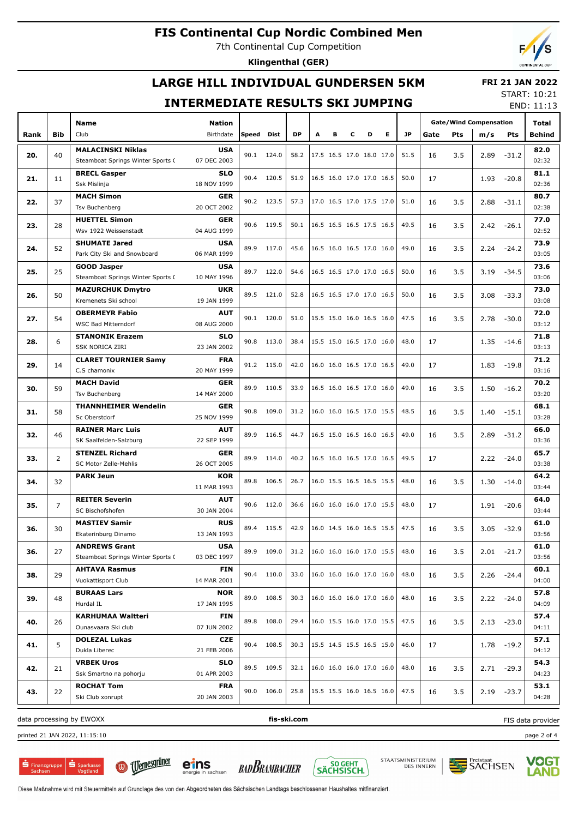7th Continental Cup Competition

**Klingenthal (GER)**

# **LARGE HILL INDIVIDUAL GUNDERSEN 5KM**

#### **INTERMEDIATE RESULTS SKI JUMPING**

START: 10:21

 **FRI 21 JAN 2022**

|      |                |                                     | IN I ERMEDIA I E RESUL I S SNI JUMPING |            |             |           |   |                          |   |   |   |           |      |            |                               |               | END: 11:13    |
|------|----------------|-------------------------------------|----------------------------------------|------------|-------------|-----------|---|--------------------------|---|---|---|-----------|------|------------|-------------------------------|---------------|---------------|
|      |                | Name                                | <b>Nation</b>                          |            |             |           |   |                          |   |   |   |           |      |            | <b>Gate/Wind Compensation</b> |               | <b>Total</b>  |
| Rank | Bib            | Club                                | Birthdate                              | Speed      | <b>Dist</b> | <b>DP</b> | A | в                        | c | D | Е | <b>JP</b> | Gate | <b>Pts</b> | m/s                           | <b>Pts</b>    | <b>Behind</b> |
|      |                | <b>MALACINSKI Niklas</b>            | <b>USA</b>                             |            |             |           |   |                          |   |   |   |           |      |            |                               |               | 82.0          |
| 20.  | 40             | Steamboat Springs Winter Sports C   | 07 DEC 2003                            |            | 90.1 124.0  | 58.2      |   | 17.5 16.5 17.0 18.0 17.0 |   |   |   | 51.5      | 16   | 3.5        | 2.89                          | $-31.2$       | 02:32         |
|      |                |                                     | <b>SLO</b>                             |            |             |           |   |                          |   |   |   |           |      |            |                               |               | 81.1          |
| 21.  | 11             | <b>BRECL Gasper</b><br>Ssk Mislinja | 18 NOV 1999                            | 90.4       | 120.5       | 51.9      |   | 16.5 16.0 17.0 17.0 16.5 |   |   |   | 50.0      | 17   |            | 1.93                          | $-20.8$       | 02:36         |
|      |                |                                     |                                        |            |             |           |   |                          |   |   |   |           |      |            |                               |               |               |
| 22.  | 37             | <b>MACH Simon</b><br>Tsv Buchenberg | <b>GER</b><br>20 OCT 2002              | 90.2       | 123.5       | 57.3      |   | 17.0 16.5 17.0 17.5 17.0 |   |   |   | 51.0      | 16   | 3.5        | 2.88                          | $-31.1$       | 80.7<br>02:38 |
|      |                | <b>HUETTEL Simon</b>                | <b>GER</b>                             |            |             |           |   |                          |   |   |   |           |      |            |                               |               | 77.0          |
| 23.  | 28             | Wsv 1922 Weissenstadt               | 04 AUG 1999                            | 90.6       | 119.5       | 50.1      |   | 16.5 16.5 16.5 17.5 16.5 |   |   |   | 49.5      | 16   | 3.5        | 2.42                          | $-26.1$       | 02:52         |
|      |                | <b>SHUMATE Jared</b>                | <b>USA</b>                             |            |             |           |   |                          |   |   |   |           |      |            |                               |               | 73.9          |
| 24.  | 52             | Park City Ski and Snowboard         | 06 MAR 1999                            | 89.9       | 117.0       | 45.6      |   | 16.5 16.0 16.5 17.0 16.0 |   |   |   | 49.0      | 16   | 3.5        | 2.24                          | $-24.2$       | 03:05         |
|      |                | <b>GOOD Jasper</b>                  | <b>USA</b>                             |            |             |           |   |                          |   |   |   |           |      |            |                               |               | 73.6          |
| 25.  | 25             | Steamboat Springs Winter Sports C   | 10 MAY 1996                            | 89.7       | 122.0       | 54.6      |   | 16.5 16.5 17.0 17.0 16.5 |   |   |   | 50.0      | 16   | 3.5        | 3.19                          | $-34.5$       | 03:06         |
|      |                | <b>MAZURCHUK Dmytro</b>             | <b>UKR</b>                             |            |             |           |   |                          |   |   |   |           |      |            |                               |               | 73.0          |
| 26.  | 50             | Kremenets Ski school                | 19 JAN 1999                            | 89.5       | 121.0       | 52.8      |   | 16.5 16.5 17.0 17.0 16.5 |   |   |   | 50.0      | 16   | 3.5        | 3.08                          | $-33.3$       | 03:08         |
|      |                | <b>OBERMEYR Fabio</b>               | <b>AUT</b>                             |            |             |           |   |                          |   |   |   |           |      |            |                               |               | 72.0          |
| 27.  | 54             | <b>WSC Bad Mitterndorf</b>          | 08 AUG 2000                            | 90.1 120.0 |             | 51.0      |   | 15.5 15.0 16.0 16.5 16.0 |   |   |   | 47.5      | 16   | 3.5        | 2.78                          | $-30.0$       | 03:12         |
|      |                | <b>STANONIK Erazem</b>              | <b>SLO</b>                             |            |             |           |   |                          |   |   |   |           |      |            |                               |               | 71.8          |
| 28.  | 6              | SSK NORICA ZIRI                     | 23 JAN 2002                            | 90.8       | 113.0       | 38.4      |   | 15.5 15.0 16.5 17.0 16.0 |   |   |   | 48.0      | 17   |            | 1.35                          | $-14.6$       | 03:13         |
|      |                | <b>CLARET TOURNIER Samy</b>         | <b>FRA</b>                             |            |             |           |   |                          |   |   |   |           |      |            |                               |               | 71.2          |
| 29.  | 14             | C.S chamonix                        | 20 MAY 1999                            |            | 91.2 115.0  | 42.0      |   | 16.0 16.0 16.5 17.0 16.5 |   |   |   | 49.0      | 17   |            | 1.83                          | $-19.8$       | 03:16         |
|      |                | <b>MACH David</b>                   | <b>GER</b>                             |            |             |           |   |                          |   |   |   |           |      |            |                               |               | 70.2          |
| 30.  | 59             | Tsv Buchenberg                      | 14 MAY 2000                            | 89.9       | 110.5       | 33.9      |   | 16.5 16.0 16.5 17.0 16.0 |   |   |   | 49.0      | 16   | 3.5        | 1.50                          | $-16.2$       | 03:20         |
|      |                | <b>THANNHEIMER Wendelin</b>         | <b>GER</b>                             |            |             |           |   |                          |   |   |   |           |      |            |                               |               | 68.1          |
| 31.  | 58             | Sc Oberstdorf                       | 25 NOV 1999                            | 90.8       | 109.0       | 31.2      |   | 16.0 16.0 16.5 17.0 15.5 |   |   |   | 48.5      | 16   | 3.5        | 1.40                          | $-15.1$       | 03:28         |
|      |                | <b>RAINER Marc Luis</b>             | <b>AUT</b>                             |            |             |           |   |                          |   |   |   |           |      |            |                               |               | 66.0          |
| 32.  | 46             | SK Saalfelden-Salzburg              | 22 SEP 1999                            | 89.9       | 116.5       | 44.7      |   | 16.5 15.0 16.5 16.0 16.5 |   |   |   | 49.0      | 16   | 3.5        | 2.89                          | $-31.2$       | 03:36         |
|      |                | <b>STENZEL Richard</b>              | <b>GER</b>                             |            |             |           |   |                          |   |   |   |           |      |            |                               |               | 65.7          |
| 33.  | $\overline{2}$ | SC Motor Zelle-Mehlis               | 26 OCT 2005                            | 89.9       | 114.0       | 40.2      |   | 16.5 16.0 16.5 17.0 16.5 |   |   |   | 49.5      | 17   |            | 2.22                          | $-24.0$       | 03:38         |
|      |                | <b>PARK Jeun</b>                    | <b>KOR</b>                             |            |             |           |   |                          |   |   |   |           |      |            |                               |               | 64.2          |
| 34.  | 32             |                                     | 11 MAR 1993                            | 89.8       | 106.5       | 26.7      |   | 16.0 15.5 16.5 16.5 15.5 |   |   |   | 48.0      | 16   | 3.5        | 1.30                          | $-14.0$       | 03:44         |
|      |                | <b>REITER Severin</b>               | <b>AUT</b>                             |            |             |           |   |                          |   |   |   |           |      |            |                               |               | 64.0          |
| 35.  | $\overline{7}$ | SC Bischofshofen                    | 30 JAN 2004                            | 90.6       | 112.0       | 36.6      |   | 16.0 16.0 16.0 17.0 15.5 |   |   |   | 48.0      | 17   |            | 1.91                          | $-20.6$       | 03:44         |
|      |                | <b>MASTIEV Samir</b>                | <b>RUS</b>                             |            |             |           |   |                          |   |   |   |           |      |            |                               |               | 61.0          |
| 36.  | 30             | Ekaterinburg Dinamo                 | 13 JAN 1993                            |            | 89.4 115.5  | 42.9      |   | 16.0 14.5 16.0 16.5 15.5 |   |   |   | 47.5      | 16   | 3.5        | 3.05                          | $-32.9$       | 03:56         |
|      |                | <b>ANDREWS Grant</b>                | <b>USA</b>                             |            |             |           |   |                          |   |   |   |           |      |            |                               |               | 61.0          |
| 36.  | 27             | Steamboat Springs Winter Sports (   | 03 DEC 1997                            |            | 89.9 109.0  | 31.2      |   | 16.0 16.0 16.0 17.0 15.5 |   |   |   | 48.0      | 16   | 3.5        |                               | $2.01 - 21.7$ | 03:56         |
|      |                | <b>AHTAVA Rasmus</b>                | FIN                                    |            |             |           |   |                          |   |   |   |           |      |            |                               |               | 60.1          |
| 38.  | 29             | Vuokattisport Club                  | 14 MAR 2001                            |            | 90.4 110.0  | 33.0      |   | 16.0 16.0 16.0 17.0 16.0 |   |   |   | 48.0      | 16   | 3.5        |                               | $2.26 -24.4$  | 04:00         |
|      |                | <b>BURAAS Lars</b>                  | <b>NOR</b>                             |            |             |           |   |                          |   |   |   |           |      |            |                               |               | 57.8          |
| 39.  | 48             | Hurdal IL                           | 17 JAN 1995                            |            | 89.0 108.5  | 30.3      |   | 16.0 16.0 16.0 17.0 16.0 |   |   |   | 48.0      | 16   | 3.5        |                               | $2.22 - 24.0$ | 04:09         |
|      |                | KARHUMAA Waltteri                   | <b>FIN</b>                             |            | 89.8 108.0  |           |   | 16.0 15.5 16.0 17.0 15.5 |   |   |   |           |      |            |                               |               | 57.4          |
| 40.  | 26             | Ounasvaara Ski club                 | 07 JUN 2002                            |            |             | 29.4      |   |                          |   |   |   | 47.5      | 16   | 3.5        |                               | $2.13 - 23.0$ | 04:11         |
|      |                | <b>DOLEZAL Lukas</b>                | <b>CZE</b>                             |            | 90.4 108.5  | 30.3      |   | 15.5 14.5 15.5 16.5 15.0 |   |   |   | 46.0      |      |            |                               |               | 57.1          |
| 41.  | 5              | Dukla Liberec                       | 21 FEB 2006                            |            |             |           |   |                          |   |   |   |           | 17   |            |                               | 1.78 -19.2    | 04:12         |
|      |                | <b>VRBEK Uros</b>                   | <b>SLO</b>                             |            | 89.5 109.5  | 32.1      |   | 16.0 16.0 16.0 17.0 16.0 |   |   |   | 48.0      |      |            |                               |               | 54.3          |
| 42.  | 21             | Ssk Smartno na pohorju              | 01 APR 2003                            |            |             |           |   |                          |   |   |   |           | 16   | 3.5        |                               | 2.71 -29.3    | 04:23         |
| 43.  | 22             | <b>ROCHAT Tom</b>                   | <b>FRA</b>                             |            | 90.0 106.0  | 25.8      |   | 15.5 15.5 16.0 16.5 16.0 |   |   |   | 47.5      | 16   | 3.5        |                               | $2.19 - 23.7$ | 53.1          |
|      |                | Ski Club xonrupt                    | 20 JAN 2003                            |            |             |           |   |                          |   |   |   |           |      |            |                               |               | 04:28         |
|      |                |                                     |                                        |            |             |           |   |                          |   |   |   |           |      |            |                               |               |               |

data processing by EWOXX **fis-ski.com**

printed 21 JAN 2022, 11:15:10 page 2 of 4

 $\overset{\bullet}{\bullet}$  Sparkasse  $\frac{1}{\sqrt{2}}$  Finanzgruppe









FIS data provider

BADBRAMBACHER

eins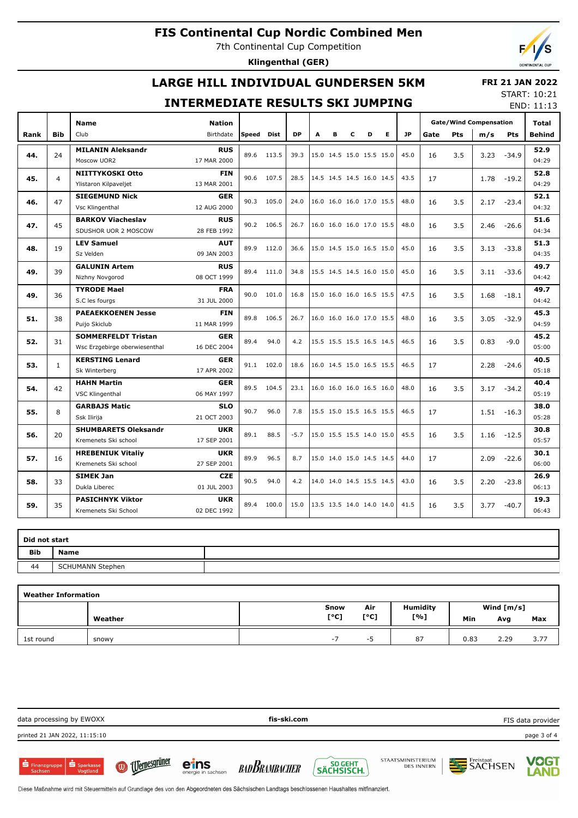7th Continental Cup Competition

Klingenthal (GER)

### LARGE HILL INDIVIDUAL GUNDERSEN 5KM

#### **INTERMEDIATE RESULTS SKI JUMPING**

**START: 10:21** END: 11:13

**FRI 21 JAN 2022** 

|      |                | <b>Name</b>                                     | <b>Nation</b>             |       |             |           |   |   |   |                          |    |      | <b>Gate/Wind Compensation</b> |            |      |         | Total         |
|------|----------------|-------------------------------------------------|---------------------------|-------|-------------|-----------|---|---|---|--------------------------|----|------|-------------------------------|------------|------|---------|---------------|
| Rank | <b>Bib</b>     | Club                                            | Birthdate                 | Speed | <b>Dist</b> | <b>DP</b> | A | в | C | D                        | E. | JP.  | Gate                          | <b>Pts</b> | m/s  | Pts     | Behind        |
| 44.  | 24             | <b>MILANIN Aleksandr</b><br>Moscow UOR2         | <b>RUS</b><br>17 MAR 2000 | 89.6  | 113.5       | 39.3      |   |   |   | 15.0 14.5 15.0 15.5 15.0 |    | 45.0 | 16                            | 3.5        | 3.23 | $-34.9$ | 52.9<br>04:29 |
|      |                | <b>NIITTYKOSKI Otto</b>                         | <b>FIN</b>                |       |             |           |   |   |   |                          |    |      |                               |            |      |         | 52.8          |
| 45.  | $\overline{4}$ | Ylistaron Kilpaveljet                           | 13 MAR 2001               | 90.6  | 107.5       | 28.5      |   |   |   | 14.5 14.5 14.5 16.0 14.5 |    | 43.5 | 17                            |            | 1.78 | $-19.2$ | 04:29         |
|      |                | <b>SIEGEMUND Nick</b>                           | <b>GER</b>                |       |             |           |   |   |   |                          |    |      |                               |            |      |         | 52.1          |
| 46.  | 47             | Vsc Klingenthal                                 | 12 AUG 2000               | 90.3  | 105.0       | 24.0      |   |   |   | 16.0 16.0 16.0 17.0 15.5 |    | 48.0 | 16                            | 3.5        | 2.17 | $-23.4$ | 04:32         |
| 47.  | 45             | <b>BARKOV Viacheslav</b>                        | <b>RUS</b>                | 90.2  | 106.5       | 26.7      |   |   |   | 16.0 16.0 16.0 17.0 15.5 |    | 48.0 | 16                            | 3.5        | 2.46 | $-26.6$ | 51.6          |
|      |                | SDUSHOR UOR 2 MOSCOW                            | 28 FEB 1992               |       |             |           |   |   |   |                          |    |      |                               |            |      |         | 04:34         |
| 48.  | 19             | <b>LEV Samuel</b>                               | <b>AUT</b>                | 89.9  | 112.0       | 36.6      |   |   |   | 15.0 14.5 15.0 16.5 15.0 |    | 45.0 | 16                            | 3.5        | 3.13 | $-33.8$ | 51.3          |
|      |                | Sz Velden                                       | 09 JAN 2003               |       |             |           |   |   |   |                          |    |      |                               |            |      |         | 04:35         |
| 49.  | 39             | <b>GALUNIN Artem</b><br>Nizhny Novgorod         | <b>RUS</b><br>08 OCT 1999 | 89.4  | 111.0       | 34.8      |   |   |   | 15.5 14.5 14.5 16.0 15.0 |    | 45.0 | 16                            | 3.5        | 3.11 | $-33.6$ | 49.7<br>04:42 |
|      |                | <b>TYRODE Mael</b>                              | <b>FRA</b>                |       |             |           |   |   |   |                          |    |      |                               |            |      |         | 49.7          |
| 49.  | 36             | S.C les fourgs                                  | 31 JUL 2000               | 90.0  | 101.0       | 16.8      |   |   |   | 15.0 16.0 16.0 16.5 15.5 |    | 47.5 | 16                            | 3.5        | 1.68 | $-18.1$ | 04:42         |
|      | 38             | <b>PAEAEKKOENEN Jesse</b>                       | <b>FIN</b>                | 89.8  | 106.5       | 26.7      |   |   |   | 16.0 16.0 16.0 17.0 15.5 |    | 48.0 | 16                            | 3.5        |      |         | 45.3          |
| 51.  |                | Puijo Skiclub                                   | 11 MAR 1999               |       |             |           |   |   |   |                          |    |      |                               |            | 3.05 | $-32.9$ | 04:59         |
| 52.  | 31             | <b>SOMMERFELDT Tristan</b>                      | <b>GER</b>                | 89.4  | 94.0        | 4.2       |   |   |   | 15.5 15.5 15.5 16.5 14.5 |    | 46.5 | 16                            | 3.5        | 0.83 | $-9.0$  | 45.2          |
|      |                | Wsc Erzgebirge oberwiesenthal                   | 16 DEC 2004               |       |             |           |   |   |   |                          |    |      |                               |            |      |         | 05:00         |
| 53.  | $\mathbf{1}$   | <b>KERSTING Lenard</b>                          | <b>GER</b>                | 91.1  | 102.0       | 18.6      |   |   |   | 16.0 14.5 15.0 16.5 15.5 |    | 46.5 | 17                            |            | 2.28 | $-24.6$ | 40.5          |
|      |                | Sk Winterberg                                   | 17 APR 2002               |       |             |           |   |   |   |                          |    |      |                               |            |      |         | 05:18         |
| 54.  | 42             | <b>HAHN Martin</b><br><b>VSC Klingenthal</b>    | <b>GER</b><br>06 MAY 1997 | 89.5  | 104.5       | 23.1      |   |   |   | 16.0 16.0 16.0 16.5 16.0 |    | 48.0 | 16                            | 3.5        | 3.17 | $-34.2$ | 40.4<br>05:19 |
|      |                | <b>GARBAJS Matic</b>                            | <b>SLO</b>                |       |             |           |   |   |   |                          |    |      |                               |            |      |         | 38.0          |
| 55.  | $\mathsf{R}$   | Ssk Ilirija                                     | 21 OCT 2003               | 90.7  | 96.0        | 7.8       |   |   |   | 15.5 15.0 15.5 16.5 15.5 |    | 46.5 | 17                            |            | 1.51 | $-16.3$ | 05:28         |
|      |                | <b>SHUMBARETS Oleksandr</b>                     | <b>UKR</b>                |       |             |           |   |   |   |                          |    |      |                               |            |      |         | 30.8          |
| 56.  | 20             | Kremenets Ski school                            | 17 SEP 2001               | 89.1  | 88.5        | $-5.7$    |   |   |   | 15.0 15.5 15.5 14.0 15.0 |    | 45.5 | 16                            | 3.5        | 1.16 | $-12.5$ | 05:57         |
| 57.  | 16             | <b>HREBENIUK Vitaliy</b>                        | <b>UKR</b>                | 89.9  | 96.5        | 8.7       |   |   |   | 15.0 14.0 15.0 14.5 14.5 |    | 44.0 | 17                            |            | 2.09 | $-22.6$ | 30.1          |
|      |                | Kremenets Ski school                            | 27 SEP 2001               |       |             |           |   |   |   |                          |    |      |                               |            |      |         | 06:00         |
| 58.  | 33             | <b>SIMEK Jan</b>                                | <b>CZE</b>                | 90.5  | 94.0        | 4.2       |   |   |   | 14.0 14.0 14.5 15.5 14.5 |    | 43.0 | 16                            | 3.5        | 2.20 | $-23.8$ | 26.9          |
|      |                | Dukla Liberec                                   | 01 JUL 2003               |       |             |           |   |   |   |                          |    |      |                               |            |      |         | 06:13         |
| 59.  | 35             | <b>PASICHNYK Viktor</b><br>Kremenets Ski School | <b>UKR</b><br>02 DEC 1992 | 89.4  | 100.0       | 15.0      |   |   |   | 13.5 13.5 14.0 14.0 14.0 |    | 41.5 | 16                            | 3.5        | 3.77 | $-40.7$ | 19.3<br>06:43 |

| Did not start |                  |  |
|---------------|------------------|--|
| <b>Bib</b>    | Name             |  |
| 44            | SCHUMANN Stephen |  |

| <b>Weather Information</b> |         |      |      |                 |      |              |      |
|----------------------------|---------|------|------|-----------------|------|--------------|------|
|                            |         | Snow | Air  | <b>Humidity</b> |      | Wind $[m/s]$ |      |
|                            | Weather | [°C] | [°C] | [%]             | Min  | Avg          | Max  |
| 1st round                  | snowy   | $-1$ | - -  | 87              | 0.83 | 2.29         | 3.77 |

| data processing by EWOXX                      |                     |                            | fis-ski.com   |                       |                                        |                             | FIS data provider |
|-----------------------------------------------|---------------------|----------------------------|---------------|-----------------------|----------------------------------------|-----------------------------|-------------------|
| printed 21 JAN 2022, 11:15:10                 |                     |                            |               |                       |                                        |                             | page 3 of 4       |
| Sparkasse<br><b>S</b> Finanzgruppe<br>Sachsen | <b>Wernesgrüner</b> | eins<br>energie in sachsen | BADBRAMBACHER | $\frac{1}{2}$ SO GEHT | STAATSMINISTERIUM<br><b>DES INNERN</b> | $\sum$ Freistaat<br>SACHSEN | VOGT              |

Diese Maßnahme wird mit Steuermitteln auf Grundlage des von den Abgeordneten des Sächsischen Landtags beschlossenen Haushaltes mitfinanziert.